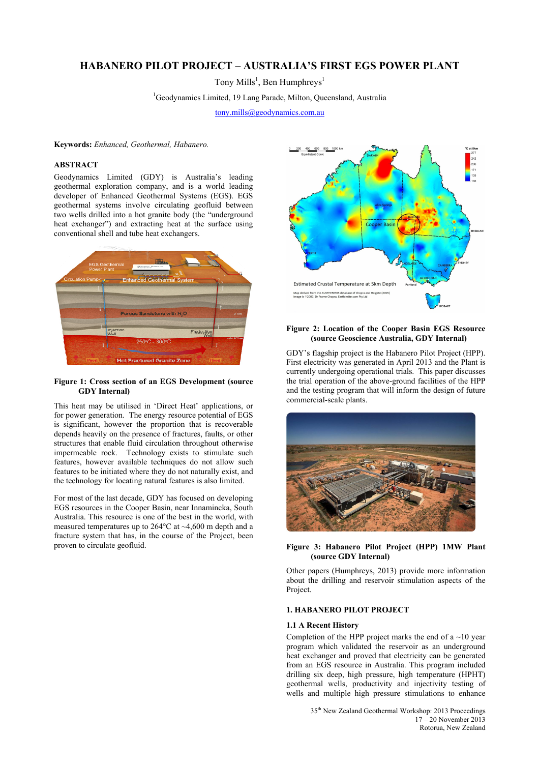# **HABANERO PILOT PROJECT – AUSTRALIA'S FIRST EGS POWER PLANT**

Tony Mills<sup>1</sup>, Ben Humphreys<sup>1</sup>

<sup>1</sup>Geodynamics Limited, 19 Lang Parade, Milton, Queensland, Australia

tony.mills@geodynamics.com.au

**Keywords:** *Enhanced, Geothermal, Habanero.*

## **ABSTRACT**

Geodynamics Limited (GDY) is Australia's leading geothermal exploration company, and is a world leading developer of Enhanced Geothermal Systems (EGS). EGS geothermal systems involve circulating geofluid between two wells drilled into a hot granite body (the "underground heat exchanger") and extracting heat at the surface using conventional shell and tube heat exchangers.



## **Figure 1: Cross section of an EGS Development (source GDY Internal)**

This heat may be utilised in 'Direct Heat' applications, or for power generation. The energy resource potential of EGS is significant, however the proportion that is recoverable depends heavily on the presence of fractures, faults, or other structures that enable fluid circulation throughout otherwise impermeable rock. Technology exists to stimulate such features, however available techniques do not allow such features to be initiated where they do not naturally exist, and the technology for locating natural features is also limited.

For most of the last decade, GDY has focused on developing EGS resources in the Cooper Basin, near Innamincka, South Australia. This resource is one of the best in the world, with measured temperatures up to 264°C at ~4,600 m depth and a fracture system that has, in the course of the Project, been proven to circulate geofluid.



#### **Figure 2: Location of the Cooper Basin EGS Resource (source Geoscience Australia, GDY Internal)**

GDY's flagship project is the Habanero Pilot Project (HPP). First electricity was generated in April 2013 and the Plant is currently undergoing operational trials. This paper discusses the trial operation of the above-ground facilities of the HPP and the testing program that will inform the design of future commercial-scale plants.



**Figure 3: Habanero Pilot Project (HPP) 1MW Plant (source GDY Internal)** 

Other papers (Humphreys, 2013) provide more information about the drilling and reservoir stimulation aspects of the Project.

## **1. HABANERO PILOT PROJECT**

#### **1.1 A Recent History**

Completion of the HPP project marks the end of a  $\sim$ 10 year program which validated the reservoir as an underground heat exchanger and proved that electricity can be generated from an EGS resource in Australia. This program included drilling six deep, high pressure, high temperature (HPHT) geothermal wells, productivity and injectivity testing of wells and multiple high pressure stimulations to enhance

> 35th New Zealand Geothermal Workshop: 2013 Proceedings 17 – 20 November 2013 Rotorua, New Zealand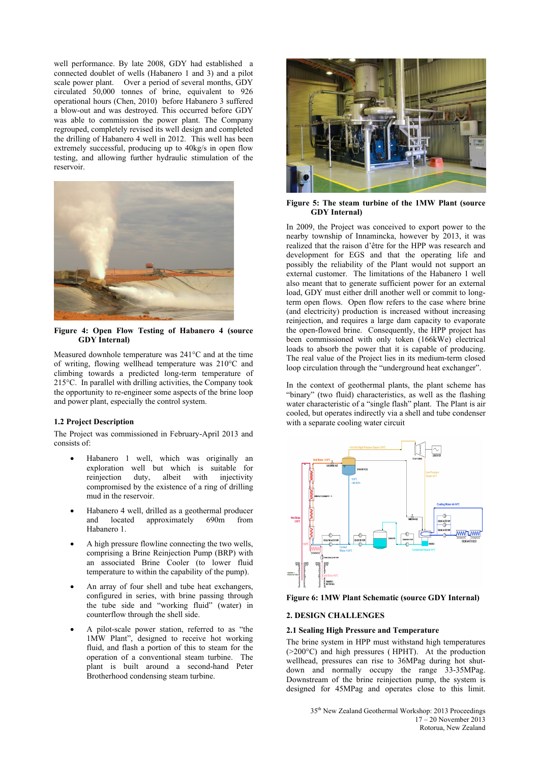well performance. By late 2008, GDY had established a connected doublet of wells (Habanero 1 and 3) and a pilot scale power plant. Over a period of several months, GDY circulated 50,000 tonnes of brine, equivalent to 926 operational hours (Chen, 2010) before Habanero 3 suffered a blow-out and was destroyed. This occurred before GDY was able to commission the power plant. The Company regrouped, completely revised its well design and completed the drilling of Habanero 4 well in 2012. This well has been extremely successful, producing up to 40kg/s in open flow testing, and allowing further hydraulic stimulation of the reservoir.



**Figure 4: Open Flow Testing of Habanero 4 (source GDY Internal)** 

Measured downhole temperature was 241°C and at the time of writing, flowing wellhead temperature was 210°C and climbing towards a predicted long-term temperature of 215°C. In parallel with drilling activities, the Company took the opportunity to re-engineer some aspects of the brine loop and power plant, especially the control system.

## **1.2 Project Description**

The Project was commissioned in February-April 2013 and consists of:

- Habanero 1 well, which was originally an exploration well but which is suitable for reinjection duty, albeit with injectivity compromised by the existence of a ring of drilling mud in the reservoir.
- Habanero 4 well, drilled as a geothermal producer and located approximately 690m from Habanero 1.
- A high pressure flowline connecting the two wells, comprising a Brine Reinjection Pump (BRP) with an associated Brine Cooler (to lower fluid temperature to within the capability of the pump).
- An array of four shell and tube heat exchangers, configured in series, with brine passing through the tube side and "working fluid" (water) in counterflow through the shell side.
- A pilot-scale power station, referred to as "the 1MW Plant", designed to receive hot working fluid, and flash a portion of this to steam for the operation of a conventional steam turbine. The plant is built around a second-hand Peter Brotherhood condensing steam turbine.



**Figure 5: The steam turbine of the 1MW Plant (source GDY Internal)** 

In 2009, the Project was conceived to export power to the nearby township of Innamincka, however by 2013, it was realized that the raison d'être for the HPP was research and development for EGS and that the operating life and possibly the reliability of the Plant would not support an external customer. The limitations of the Habanero 1 well also meant that to generate sufficient power for an external load, GDY must either drill another well or commit to longterm open flows. Open flow refers to the case where brine (and electricity) production is increased without increasing reinjection, and requires a large dam capacity to evaporate the open-flowed brine. Consequently, the HPP project has been commissioned with only token (166kWe) electrical loads to absorb the power that it is capable of producing. The real value of the Project lies in its medium-term closed loop circulation through the "underground heat exchanger".

In the context of geothermal plants, the plant scheme has "binary" (two fluid) characteristics, as well as the flashing water characteristic of a "single flash" plant. The Plant is air cooled, but operates indirectly via a shell and tube condenser with a separate cooling water circuit



**Figure 6: 1MW Plant Schematic (source GDY Internal)** 

#### **2. DESIGN CHALLENGES**

#### **2.1 Sealing High Pressure and Temperature**

The brine system in HPP must withstand high temperatures (>200°C) and high pressures ( HPHT). At the production wellhead, pressures can rise to 36MPag during hot shutdown and normally occupy the range 33-35MPag. Downstream of the brine reinjection pump, the system is designed for 45MPag and operates close to this limit.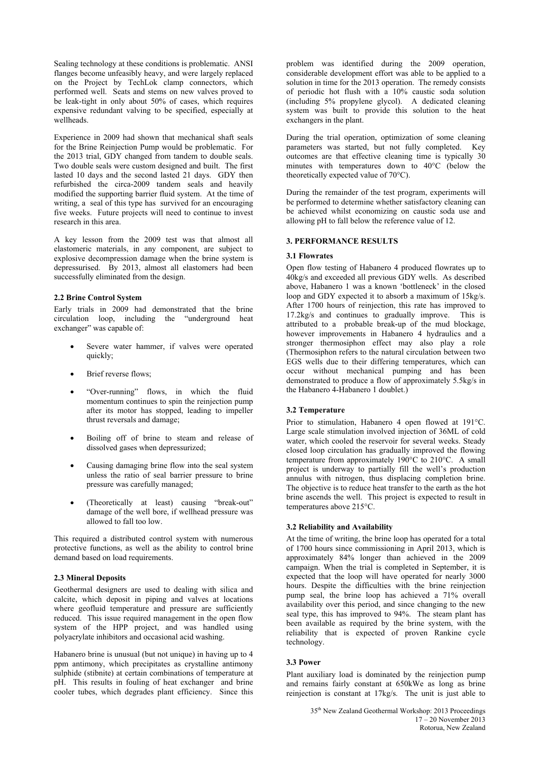Sealing technology at these conditions is problematic. ANSI flanges become unfeasibly heavy, and were largely replaced on the Project by TechLok clamp connectors, which performed well. Seats and stems on new valves proved to be leak-tight in only about 50% of cases, which requires expensive redundant valving to be specified, especially at wellheads.

Experience in 2009 had shown that mechanical shaft seals for the Brine Reinjection Pump would be problematic. For the 2013 trial, GDY changed from tandem to double seals. Two double seals were custom designed and built. The first lasted 10 days and the second lasted 21 days. GDY then refurbished the circa-2009 tandem seals and heavily modified the supporting barrier fluid system. At the time of writing, a seal of this type has survived for an encouraging five weeks. Future projects will need to continue to invest research in this area.

A key lesson from the 2009 test was that almost all elastomeric materials, in any component, are subject to explosive decompression damage when the brine system is depressurised. By 2013, almost all elastomers had been successfully eliminated from the design.

## **2.2 Brine Control System**

Early trials in 2009 had demonstrated that the brine circulation loop, including the "underground heat exchanger" was capable of:

- Severe water hammer, if valves were operated quickly;
- Brief reverse flows;
- "Over-running" flows, in which the fluid momentum continues to spin the reinjection pump after its motor has stopped, leading to impeller thrust reversals and damage;
- Boiling off of brine to steam and release of dissolved gases when depressurized;
- Causing damaging brine flow into the seal system unless the ratio of seal barrier pressure to brine pressure was carefully managed;
- (Theoretically at least) causing "break-out" damage of the well bore, if wellhead pressure was allowed to fall too low.

This required a distributed control system with numerous protective functions, as well as the ability to control brine demand based on load requirements.

## **2.3 Mineral Deposits**

Geothermal designers are used to dealing with silica and calcite, which deposit in piping and valves at locations where geofluid temperature and pressure are sufficiently reduced. This issue required management in the open flow system of the HPP project, and was handled using polyacrylate inhibitors and occasional acid washing.

Habanero brine is unusual (but not unique) in having up to 4 ppm antimony, which precipitates as crystalline antimony sulphide (stibnite) at certain combinations of temperature at pH. This results in fouling of heat exchanger and brine cooler tubes, which degrades plant efficiency. Since this

problem was identified during the 2009 operation, considerable development effort was able to be applied to a solution in time for the 2013 operation. The remedy consists of periodic hot flush with a 10% caustic soda solution (including 5% propylene glycol). A dedicated cleaning system was built to provide this solution to the heat exchangers in the plant.

During the trial operation, optimization of some cleaning parameters was started, but not fully completed. Key outcomes are that effective cleaning time is typically 30 minutes with temperatures down to 40°C (below the theoretically expected value of 70°C).

During the remainder of the test program, experiments will be performed to determine whether satisfactory cleaning can be achieved whilst economizing on caustic soda use and allowing pH to fall below the reference value of 12.

# **3. PERFORMANCE RESULTS**

# **3.1 Flowrates**

Open flow testing of Habanero 4 produced flowrates up to 40kg/s and exceeded all previous GDY wells. As described above, Habanero 1 was a known 'bottleneck' in the closed loop and GDY expected it to absorb a maximum of 15kg/s. After 1700 hours of reinjection, this rate has improved to 17.2kg/s and continues to gradually improve. This is attributed to a probable break-up of the mud blockage, however improvements in Habanero 4 hydraulics and a stronger thermosiphon effect may also play a role (Thermosiphon refers to the natural circulation between two EGS wells due to their differing temperatures, which can occur without mechanical pumping and has been demonstrated to produce a flow of approximately 5.5kg/s in the Habanero 4-Habanero 1 doublet.)

## **3.2 Temperature**

Prior to stimulation, Habanero 4 open flowed at 191°C. Large scale stimulation involved injection of 36ML of cold water, which cooled the reservoir for several weeks. Steady closed loop circulation has gradually improved the flowing temperature from approximately 190°C to 210°C. A small project is underway to partially fill the well's production annulus with nitrogen, thus displacing completion brine. The objective is to reduce heat transfer to the earth as the hot brine ascends the well. This project is expected to result in temperatures above 215°C.

## **3.2 Reliability and Availability**

At the time of writing, the brine loop has operated for a total of 1700 hours since commissioning in April 2013, which is approximately 84% longer than achieved in the 2009 campaign. When the trial is completed in September, it is expected that the loop will have operated for nearly 3000 hours. Despite the difficulties with the brine reinjection pump seal, the brine loop has achieved a 71% overall availability over this period, and since changing to the new seal type, this has improved to 94%. The steam plant has been available as required by the brine system, with the reliability that is expected of proven Rankine cycle technology.

## **3.3 Power**

Plant auxiliary load is dominated by the reinjection pump and remains fairly constant at 650kWe as long as brine reinjection is constant at 17kg/s. The unit is just able to